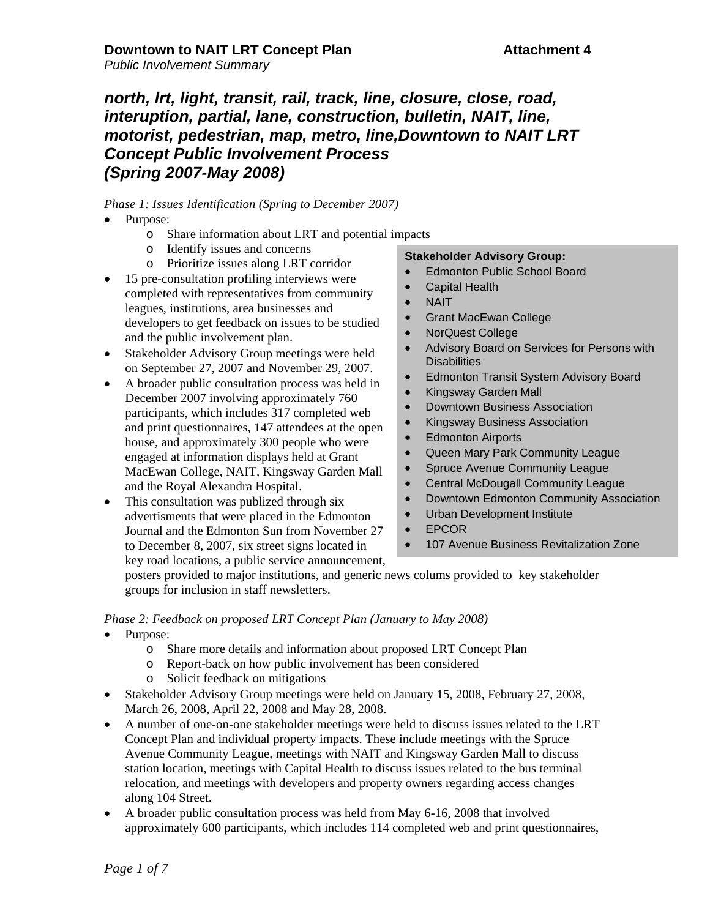# *north, lrt, light, transit, rail, track, line, closure, close, road, interuption, partial, lane, construction, bulletin, NAIT, line, motorist, pedestrian, map, metro, line,Downtown to NAIT LRT Concept Public Involvement Process (Spring 2007-May 2008)*

### *Phase 1: Issues Identification (Spring to December 2007)*

- Purpose:
	- o Share information about LRT and potential impacts
	- o Identify issues and concerns
	- o Prioritize issues along LRT corridor
- 15 pre-consultation profiling interviews were completed with representatives from community leagues, institutions, area businesses and developers to get feedback on issues to be studied and the public involvement plan.
- Stakeholder Advisory Group meetings were held on September 27, 2007 and November 29, 2007.
- A broader public consultation process was held in December 2007 involving approximately 760 participants, which includes 317 completed web and print questionnaires, 147 attendees at the open house, and approximately 300 people who were engaged at information displays held at Grant MacEwan College, NAIT, Kingsway Garden Mall and the Royal Alexandra Hospital.
- This consultation was publized through six advertisments that were placed in the Edmonton Journal and the Edmonton Sun from November 27 to December 8, 2007, six street signs located in key road locations, a public service announcement,

#### **Stakeholder Advisory Group:**

- Edmonton Public School Board
- Capital Health
- NAIT
- Grant MacEwan College
- NorQuest College
- Advisory Board on Services for Persons with **Disabilities**
- Edmonton Transit System Advisory Board
- Kingsway Garden Mall
- Downtown Business Association
- Kingsway Business Association
- **Edmonton Airports**
- Queen Mary Park Community League
- Spruce Avenue Community League
- Central McDougall Community League
- Downtown Edmonton Community Association
- Urban Development Institute
- EPCOR
- 107 Avenue Business Revitalization Zone

posters provided to major institutions, and generic news colums provided to key stakeholder groups for inclusion in staff newsletters.

#### *Phase 2: Feedback on proposed LRT Concept Plan (January to May 2008)*

- Purpose:
	- o Share more details and information about proposed LRT Concept Plan
	- o Report-back on how public involvement has been considered
	- o Solicit feedback on mitigations
- Stakeholder Advisory Group meetings were held on January 15, 2008, February 27, 2008, March 26, 2008, April 22, 2008 and May 28, 2008.
- A number of one-on-one stakeholder meetings were held to discuss issues related to the LRT Concept Plan and individual property impacts. These include meetings with the Spruce Avenue Community League, meetings with NAIT and Kingsway Garden Mall to discuss station location, meetings with Capital Health to discuss issues related to the bus terminal relocation, and meetings with developers and property owners regarding access changes along 104 Street.
- A broader public consultation process was held from May 6-16, 2008 that involved approximately 600 participants, which includes 114 completed web and print questionnaires,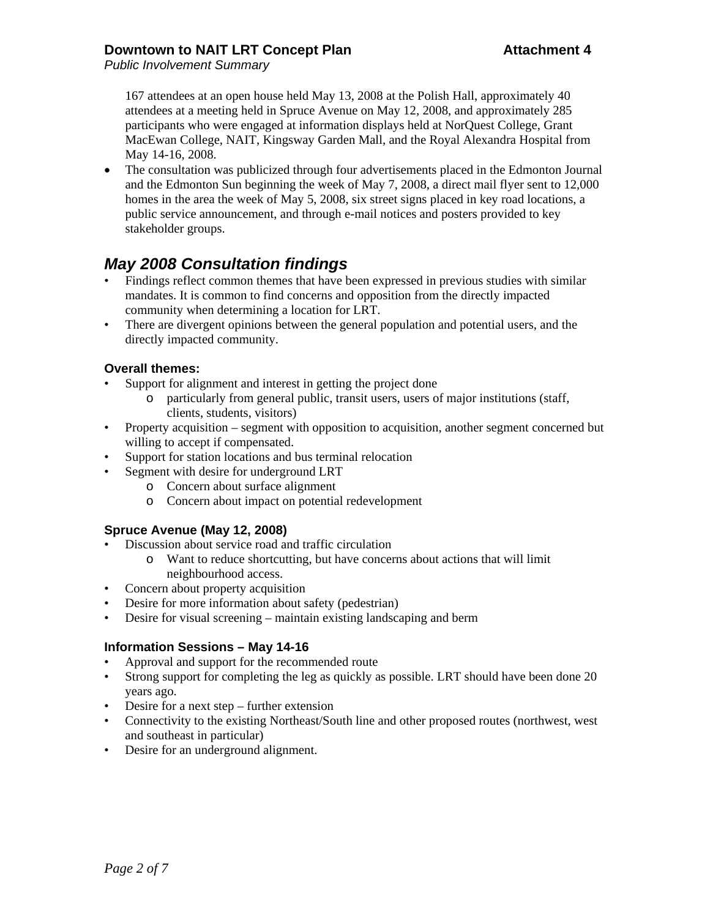## **Downtown to NAIT LRT Concept Plan Attachment 4**

*Public Involvement Summary*

167 attendees at an open house held May 13, 2008 at the Polish Hall, approximately 40 attendees at a meeting held in Spruce Avenue on May 12, 2008, and approximately 285 participants who were engaged at information displays held at NorQuest College, Grant MacEwan College, NAIT, Kingsway Garden Mall, and the Royal Alexandra Hospital from May 14-16, 2008.

• The consultation was publicized through four advertisements placed in the Edmonton Journal and the Edmonton Sun beginning the week of May 7, 2008, a direct mail flyer sent to 12,000 homes in the area the week of May 5, 2008, six street signs placed in key road locations, a public service announcement, and through e-mail notices and posters provided to key stakeholder groups.

# *May 2008 Consultation findings*

- Findings reflect common themes that have been expressed in previous studies with similar mandates. It is common to find concerns and opposition from the directly impacted community when determining a location for LRT.
- There are divergent opinions between the general population and potential users, and the directly impacted community.

### **Overall themes:**

- Support for alignment and interest in getting the project done
	- o particularly from general public, transit users, users of major institutions (staff, clients, students, visitors)
- Property acquisition segment with opposition to acquisition, another segment concerned but willing to accept if compensated.
- Support for station locations and bus terminal relocation
- Segment with desire for underground LRT
	- o Concern about surface alignment
	- o Concern about impact on potential redevelopment

## **Spruce Avenue (May 12, 2008)**

- Discussion about service road and traffic circulation
	- o Want to reduce shortcutting, but have concerns about actions that will limit neighbourhood access.
- Concern about property acquisition
- Desire for more information about safety (pedestrian)
- Desire for visual screening maintain existing landscaping and berm

#### **Information Sessions – May 14-16**

- Approval and support for the recommended route
- Strong support for completing the leg as quickly as possible. LRT should have been done 20 years ago.
- Desire for a next step further extension
- Connectivity to the existing Northeast/South line and other proposed routes (northwest, west and southeast in particular)
- Desire for an underground alignment.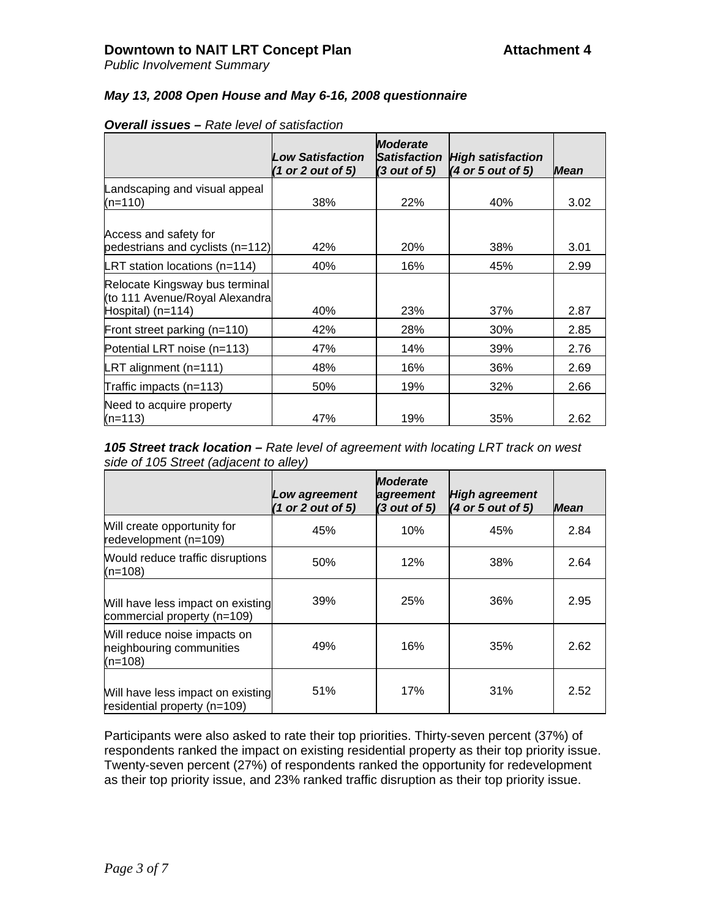*Public Involvement Summary*

### *May 13, 2008 Open House and May 6-16, 2008 questionnaire*

|                                                                                       | <b>Low Satisfaction</b><br>(1 or 2 out of 5) | <b>Moderate</b><br><b>Satisfaction</b><br>$(3$ out of 5) | <b>High satisfaction</b><br>(4 or 5 out of 5) | <b>Mean</b> |
|---------------------------------------------------------------------------------------|----------------------------------------------|----------------------------------------------------------|-----------------------------------------------|-------------|
| Landscaping and visual appeal                                                         |                                              |                                                          |                                               |             |
| $(n=110)$                                                                             | 38%                                          | 22%                                                      | 40%                                           | 3.02        |
| Access and safety for<br>pedestrians and cyclists (n=112)                             | 42%                                          | 20%                                                      | 38%                                           | 3.01        |
| <b>LRT</b> station locations ( $n=114$ )                                              | 40%                                          | 16%                                                      | 45%                                           | 2.99        |
| Relocate Kingsway bus terminal<br>(to 111 Avenue/Royal Alexandra<br>Hospital) (n=114) | 40%                                          | 23%                                                      | 37%                                           | 2.87        |
| Front street parking (n=110)                                                          | 42%                                          | 28%                                                      | <b>30%</b>                                    | 2.85        |
| Potential LRT noise (n=113)                                                           | 47%                                          | 14%                                                      | 39%                                           | 2.76        |
| LRT alignment $(n=111)$                                                               | 48%                                          | 16%                                                      | 36%                                           | 2.69        |
| Traffic impacts (n=113)                                                               | 50%                                          | 19%                                                      | 32%                                           | 2.66        |
| Need to acquire property<br>$(n=113)$                                                 | 47%                                          | 19%                                                      | 35%                                           | 2.62        |

#### *Overall issues – Rate level of satisfaction*

*105 Street track location – Rate level of agreement with locating LRT track on west side of 105 Street (adjacent to alley)*

|                                                                       | Low agreement<br>(1 or 2 out of 5) | <b>Moderate</b><br>agreement<br>(3 out of 5) | <b>High agreement</b><br>(4 or 5 out of 5) | <b>Mean</b> |
|-----------------------------------------------------------------------|------------------------------------|----------------------------------------------|--------------------------------------------|-------------|
| Will create opportunity for<br>redevelopment (n=109)                  | 45%                                | 10%                                          | 45%                                        | 2.84        |
| Would reduce traffic disruptions<br>$(n=108)$                         | 50%                                | 12%                                          | 38%                                        | 2.64        |
| Will have less impact on existing<br>commercial property (n=109)      | 39%                                | 25%                                          | 36%                                        | 2.95        |
| Will reduce noise impacts on<br>neighbouring communities<br>$(n=108)$ | 49%                                | 16%                                          | 35%                                        | 2.62        |
| Will have less impact on existing<br>residential property (n=109)     | 51%                                | 17%                                          | 31%                                        | 2.52        |

Participants were also asked to rate their top priorities. Thirty-seven percent (37%) of respondents ranked the impact on existing residential property as their top priority issue. Twenty-seven percent (27%) of respondents ranked the opportunity for redevelopment as their top priority issue, and 23% ranked traffic disruption as their top priority issue.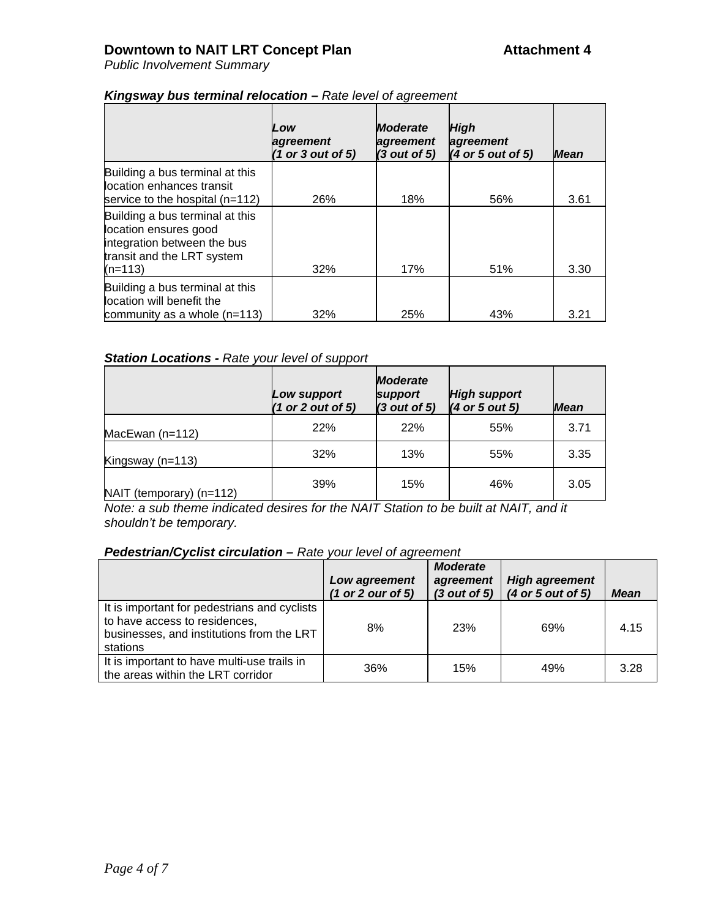*Public Involvement Summary*

|                                                                                                                                    | Low<br>agreement<br>(1 or 3 out of 5) | <b>Moderate</b><br>agreement<br>(3 out of 5) | High<br>agreement<br>(4 or 5 out of 5) | <b>Mean</b> |
|------------------------------------------------------------------------------------------------------------------------------------|---------------------------------------|----------------------------------------------|----------------------------------------|-------------|
| Building a bus terminal at this<br>location enhances transit<br>service to the hospital $(n=112)$                                  | 26%                                   | 18%                                          | 56%                                    | 3.61        |
| Building a bus terminal at this<br>location ensures good<br>integration between the bus<br>transit and the LRT system<br>$(n=113)$ | 32%                                   | 17%                                          | 51%                                    | 3.30        |
| Building a bus terminal at this<br>location will benefit the<br>community as a whole $(n=113)$                                     | 32%                                   | 25%                                          | 43%                                    | 3.21        |

### *Kingsway bus terminal relocation – Rate level of agreement*

## *Station Locations - Rate your level of support*

|                            | Low support<br>(1 or 2 out of 5) | <b>Moderate</b><br>support<br>(3 out of 5) | <b>High support</b><br>$(4$ or 5 out 5) | <b>Mean</b> |
|----------------------------|----------------------------------|--------------------------------------------|-----------------------------------------|-------------|
| MacEwan $(n=112)$          | 22%                              | 22%                                        | 55%                                     | 3.71        |
| Kingsway ( $n=113$ )       | 32%                              | 13%                                        | 55%                                     | 3.35        |
| $NAIT$ (temporary) (n=112) | 39%                              | 15%                                        | 46%                                     | 3.05        |

*Note: a sub theme indicated desires for the NAIT Station to be built at NAIT, and it shouldn't be temporary.*

#### *Pedestrian/Cyclist circulation – Rate your level of agreement*

|                                                                                                                                        | Low agreement<br>(1 or 2 our of 5) | <b>Moderate</b><br>agreement<br>(3 out of 5) | <b>High agreement</b><br>(4 or 5 out of 5) | <b>Mean</b> |
|----------------------------------------------------------------------------------------------------------------------------------------|------------------------------------|----------------------------------------------|--------------------------------------------|-------------|
| It is important for pedestrians and cyclists<br>to have access to residences,<br>businesses, and institutions from the LRT<br>stations | 8%                                 | 23%                                          | 69%                                        | 4.15        |
| It is important to have multi-use trails in<br>the areas within the LRT corridor                                                       | 36%                                | 15%                                          | 49%                                        | 3.28        |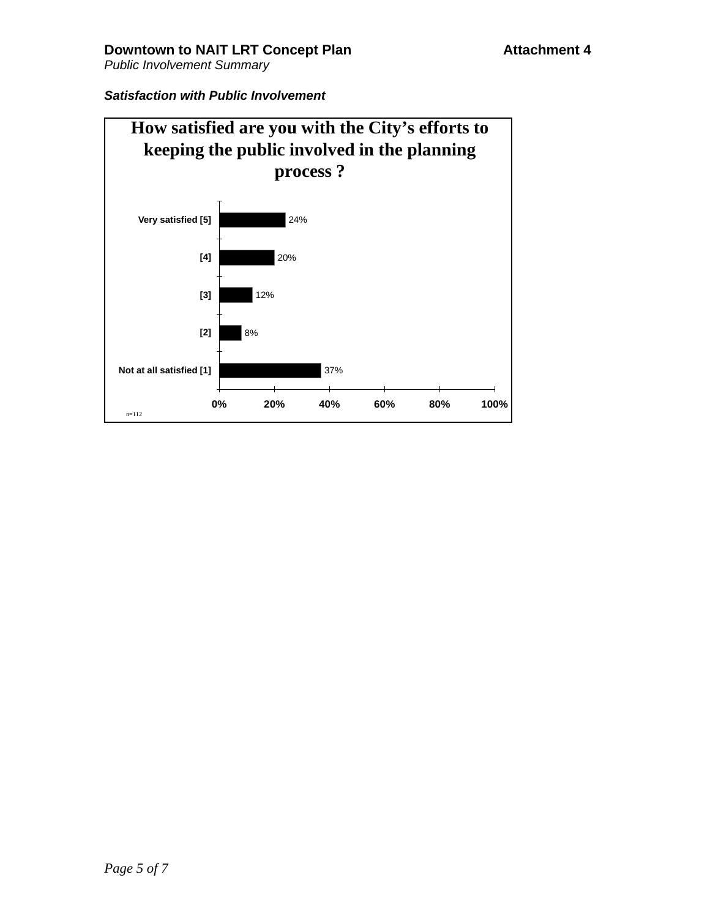## *Satisfaction with Public Involvement*

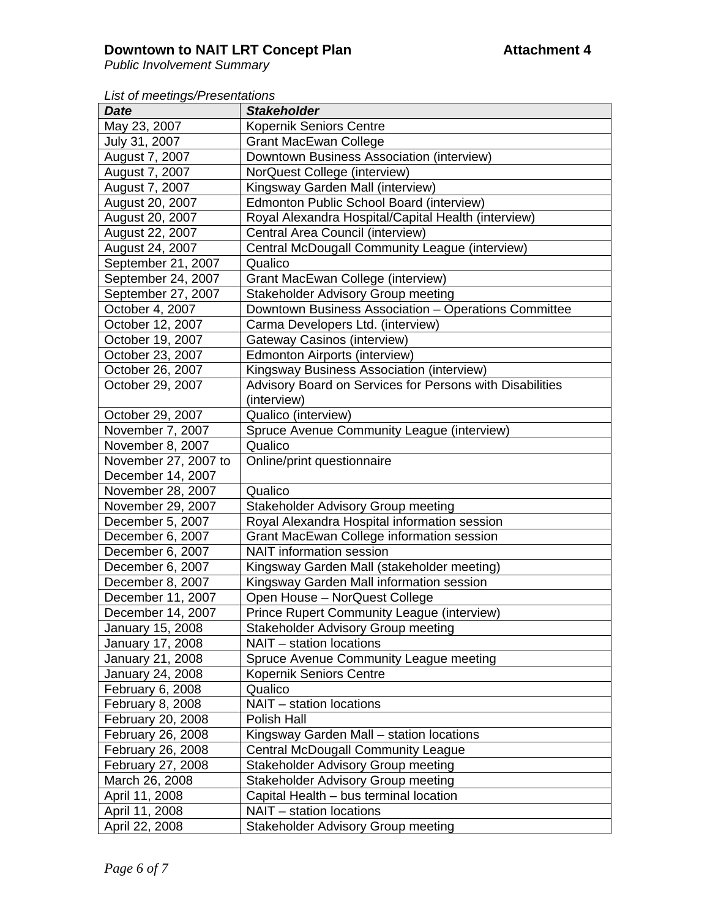# **Downtown to NAIT LRT Concept Plan Attachment 4**

*Public Involvement Summary*

*List of meetings/Presentations*

| <b>Date</b>                           | <b>Stakeholder</b>                                                                                |
|---------------------------------------|---------------------------------------------------------------------------------------------------|
| May 23, 2007                          | <b>Kopernik Seniors Centre</b>                                                                    |
| July 31, 2007                         | <b>Grant MacEwan College</b>                                                                      |
| August 7, 2007                        | Downtown Business Association (interview)                                                         |
| August 7, 2007                        | NorQuest College (interview)                                                                      |
| August 7, 2007                        | Kingsway Garden Mall (interview)                                                                  |
| August 20, 2007                       | Edmonton Public School Board (interview)                                                          |
| August 20, 2007                       | Royal Alexandra Hospital/Capital Health (interview)                                               |
| August 22, 2007                       | Central Area Council (interview)                                                                  |
|                                       | Central McDougall Community League (interview)                                                    |
| August 24, 2007<br>September 21, 2007 | Qualico                                                                                           |
| September 24, 2007                    |                                                                                                   |
| September 27, 2007                    | Grant MacEwan College (interview)                                                                 |
|                                       | <b>Stakeholder Advisory Group meeting</b><br>Downtown Business Association - Operations Committee |
| October 4, 2007                       |                                                                                                   |
| October 12, 2007                      | Carma Developers Ltd. (interview)                                                                 |
| October 19, 2007                      | <b>Gateway Casinos (interview)</b>                                                                |
| October 23, 2007                      | Edmonton Airports (interview)                                                                     |
| October 26, 2007                      | Kingsway Business Association (interview)                                                         |
| October 29, 2007                      | Advisory Board on Services for Persons with Disabilities                                          |
|                                       | (interview)                                                                                       |
| October 29, 2007                      | Qualico (interview)                                                                               |
| November 7, 2007                      | Spruce Avenue Community League (interview)                                                        |
| November 8, 2007                      | Qualico                                                                                           |
| November 27, 2007 to                  | Online/print questionnaire                                                                        |
| December 14, 2007                     |                                                                                                   |
| November 28, 2007                     | Qualico                                                                                           |
| November 29, 2007                     | <b>Stakeholder Advisory Group meeting</b>                                                         |
| December 5, 2007                      | Royal Alexandra Hospital information session                                                      |
| December 6, 2007                      | Grant MacEwan College information session                                                         |
| December 6, 2007                      | <b>NAIT</b> information session                                                                   |
| December 6, 2007                      | Kingsway Garden Mall (stakeholder meeting)                                                        |
| December 8, 2007                      | Kingsway Garden Mall information session                                                          |
| December 11, 2007                     | Open House - NorQuest College                                                                     |
| December 14, 2007                     | Prince Rupert Community League (interview)                                                        |
| January 15, 2008                      | <b>Stakeholder Advisory Group meeting</b>                                                         |
| January 17, 2008                      | NAIT - station locations                                                                          |
| January 21, 2008                      | Spruce Avenue Community League meeting                                                            |
| January 24, 2008                      | Kopernik Seniors Centre                                                                           |
| February 6, 2008                      | Qualico                                                                                           |
| February 8, 2008                      | NAIT - station locations                                                                          |
| February 20, 2008                     | Polish Hall                                                                                       |
| February 26, 2008                     | Kingsway Garden Mall - station locations                                                          |
| February 26, 2008                     | <b>Central McDougall Community League</b>                                                         |
| February 27, 2008                     | <b>Stakeholder Advisory Group meeting</b>                                                         |
| March 26, 2008                        | <b>Stakeholder Advisory Group meeting</b>                                                         |
| April 11, 2008                        | Capital Health - bus terminal location                                                            |
| April 11, 2008                        | NAIT - station locations                                                                          |
| April 22, 2008                        | <b>Stakeholder Advisory Group meeting</b>                                                         |